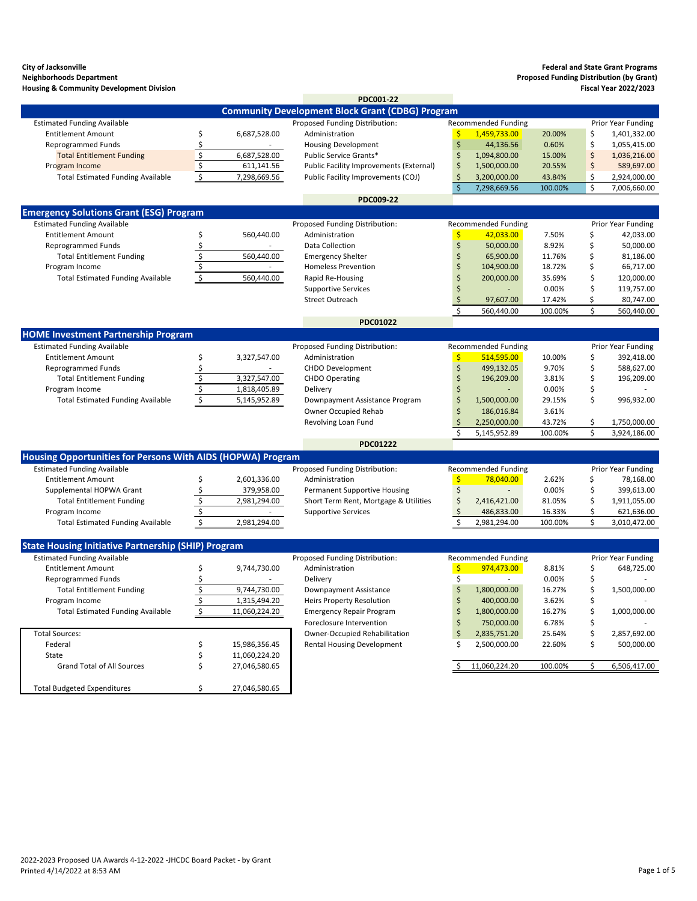**City of Jacksonville Federal and State Grant Programs**

2022-2023 Proposed UA Awards 4-12-2022 -JHCDC Board Packet - by Grant Printed 4/14/2022 at 8:53 AM Page 1 of 5

| <b>Neighborhoods Department</b>                             |         |              |                                                         |    |                            |         |    | <b>Proposed Funding Distribution (by Grant)</b> |
|-------------------------------------------------------------|---------|--------------|---------------------------------------------------------|----|----------------------------|---------|----|-------------------------------------------------|
| <b>Housing &amp; Community Development Division</b>         |         |              | <b>PDC001-22</b>                                        |    |                            |         |    | <b>Fiscal Year 2022/2023</b>                    |
|                                                             |         |              | <b>Community Development Block Grant (CDBG) Program</b> |    |                            |         |    |                                                 |
| <b>Estimated Funding Available</b>                          |         |              | Proposed Funding Distribution:                          |    | <b>Recommended Funding</b> |         |    | Prior Year Funding                              |
| <b>Entitlement Amount</b>                                   |         | 6,687,528.00 | Administration                                          | \$ | 1,459,733.00               | 20.00%  | \$ | 1,401,332.00                                    |
| <b>Reprogrammed Funds</b>                                   |         |              | <b>Housing Development</b>                              | Ş  | 44,136.56                  | 0.60%   | \$ | 1,055,415.00                                    |
| <b>Total Entitlement Funding</b>                            | \$      | 6,687,528.00 | Public Service Grants*                                  | \$ | 1,094,800.00               | 15.00%  | \$ | 1,036,216.00                                    |
| Program Income                                              | $\zeta$ | 611,141.56   | <b>Public Facility Improvements (External)</b>          |    | 1,500,000.00               | 20.55%  | \$ | 589,697.00                                      |
| <b>Total Estimated Funding Available</b>                    | \$      | 7,298,669.56 | Public Facility Improvements (COJ)                      |    | 3,200,000.00               | 43.84%  | \$ | 2,924,000.00                                    |
|                                                             |         |              |                                                         | \$ | 7,298,669.56               | 100.00% | \$ | 7,006,660.00                                    |
|                                                             |         |              | <b>PDC009-22</b>                                        |    |                            |         |    |                                                 |
| <b>Emergency Solutions Grant (ESG) Program</b>              |         |              |                                                         |    |                            |         |    |                                                 |
| <b>Estimated Funding Available</b>                          |         |              | Proposed Funding Distribution:                          |    | <b>Recommended Funding</b> |         |    | Prior Year Funding                              |
| <b>Entitlement Amount</b>                                   |         | 560,440.00   | Administration                                          | \$ | 42,033.00                  | 7.50%   |    | 42,033.00                                       |
| <b>Reprogrammed Funds</b>                                   |         |              | <b>Data Collection</b>                                  |    | 50,000.00                  | 8.92%   |    | 50,000.00                                       |
| <b>Total Entitlement Funding</b>                            | \$      | 560,440.00   | <b>Emergency Shelter</b>                                |    | 65,900.00                  | 11.76%  |    | 81,186.00                                       |
| Program Income                                              |         |              | <b>Homeless Prevention</b>                              |    | 104,900.00                 | 18.72%  |    | 66,717.00                                       |
| <b>Total Estimated Funding Available</b>                    | \$      | 560,440.00   | Rapid Re-Housing                                        |    | 200,000.00                 | 35.69%  | \$ | 120,000.00                                      |
|                                                             |         |              | <b>Supportive Services</b>                              |    |                            | 0.00%   |    | 119,757.00                                      |
|                                                             |         |              | <b>Street Outreach</b>                                  |    | 97,607.00                  | 17.42%  |    | 80,747.00                                       |
|                                                             |         |              |                                                         |    | 560,440.00                 | 100.00% |    | 560,440.00                                      |
|                                                             |         |              | <b>PDC01022</b>                                         |    |                            |         |    |                                                 |
| <b>HOME Investment Partnership Program</b>                  |         |              |                                                         |    |                            |         |    |                                                 |
| <b>Estimated Funding Available</b>                          |         |              | Proposed Funding Distribution:                          |    | <b>Recommended Funding</b> |         |    | Prior Year Funding                              |
| <b>Entitlement Amount</b>                                   | \$      | 3,327,547.00 | Administration                                          |    | 514,595.00                 | 10.00%  | \$ | 392,418.00                                      |
| <b>Reprogrammed Funds</b>                                   |         |              | <b>CHDO Development</b>                                 |    | 499,132.05                 | 9.70%   | \$ | 588,627.00                                      |
| <b>Total Entitlement Funding</b>                            |         | 3,327,547.00 | <b>CHDO Operating</b>                                   |    | 196,209.00                 | 3.81%   |    | 196,209.00                                      |
| Program Income                                              |         | 1,818,405.89 | Delivery                                                |    |                            | 0.00%   |    |                                                 |
| <b>Total Estimated Funding Available</b>                    | \$      | 5,145,952.89 | Downpayment Assistance Program                          | S  | 1,500,000.00               | 29.15%  |    | 996,932.00                                      |
|                                                             |         |              | <b>Owner Occupied Rehab</b>                             |    | 186,016.84                 | 3.61%   |    |                                                 |
|                                                             |         |              | Revolving Loan Fund                                     |    | 2,250,000.00               | 43.72%  | S  | 1,750,000.00                                    |
|                                                             |         |              |                                                         |    | 5,145,952.89               | 100.00% | \$ | 3,924,186.00                                    |
|                                                             |         |              | <b>PDC01222</b>                                         |    |                            |         |    |                                                 |
| Housing Opportunities for Persons With AIDS (HOPWA) Program |         |              |                                                         |    |                            |         |    |                                                 |
| <b>Estimated Funding Available</b>                          |         |              | Proposed Funding Distribution:                          |    | <b>Recommended Funding</b> |         |    | Prior Year Funding                              |
| <b>Entitlement Amount</b>                                   | Ş       | 2,601,336.00 | Administration                                          | \$ | 78,040.00                  | 2.62%   | \$ | 78,168.00                                       |
| Supplemental HOPWA Grant                                    |         | 379,958.00   | <b>Permanent Supportive Housing</b>                     |    |                            | 0.00%   |    | 399,613.00                                      |
| <b>Total Entitlement Funding</b>                            | \$      | 2,981,294.00 | Short Term Rent, Mortgage & Utilities                   |    | 2,416,421.00               | 81.05%  |    | 1,911,055.00                                    |
| Program Income                                              |         |              | <b>Supportive Services</b>                              |    | 486,833.00                 | 16.33%  |    | 621,636.00                                      |
| <b>Total Estimated Funding Available</b>                    | $\zeta$ | 2,981,294.00 |                                                         |    | 2,981,294.00               | 100.00% | \$ | 3,010,472.00                                    |
|                                                             |         |              |                                                         |    |                            |         |    |                                                 |
| <b>State Housing Initiative Partnership (SHIP) Program</b>  |         |              |                                                         |    |                            |         |    |                                                 |
| <b>Estimated Funding Available</b>                          |         |              | Proposed Funding Distribution:                          |    | <b>Recommended Funding</b> |         |    | <b>Prior Year Funding</b>                       |

| Estimated Funding Available              |               | Proposed Funding Distribution:   | Recommended Funding |        | Prior rear Funding |
|------------------------------------------|---------------|----------------------------------|---------------------|--------|--------------------|
| <b>Entitlement Amount</b>                | 9,744,730.00  | Administration                   | 974,473.00          | 8.81%  | 648,725.00         |
| <b>Reprogrammed Funds</b>                |               | <b>Delivery</b>                  |                     | 0.00%  |                    |
| <b>Total Entitlement Funding</b>         | 9,744,730.00  | Downpayment Assistance           | 1,800,000.00        | 16.27% | 1,500,000.00       |
| Program Income                           | 1,315,494.20  | <b>Heirs Property Resolution</b> | 400,000.00          | 3.62%  |                    |
| <b>Total Estimated Funding Available</b> | 11,060,224.20 | <b>Emergency Repair Program</b>  | 1,800,000.00        | 16.27% | 1,000,000.00       |
|                                          |               | Foreclosure Intervention         | 750,000.00          | 6.78%  |                    |

| posed Funding Distribution:          |    | <b>Recommended Funding</b> |        | Prior Year Funding |
|--------------------------------------|----|----------------------------|--------|--------------------|
| Administration                       | ς  | 974,473.00                 | 8.81%  | 648,725.00         |
| Delivery                             |    |                            | 0.00%  |                    |
| Downpayment Assistance               | \$ | 1,800,000.00               | 16.27% | 1,500,000.00       |
| <b>Heirs Property Resolution</b>     |    | 400,000.00                 | 3.62%  |                    |
| <b>Emergency Repair Program</b>      | \$ | 1,800,000.00               | 16.27% | 1,000,000.00       |
| Foreclosure Intervention             | \$ | 750,000.00                 | 6.78%  |                    |
| <b>Owner-Occupied Rehabilitation</b> | \$ | 2,835,751.20               | 25.64% | 2,857,692.00       |
| <b>Rental Housing Development</b>    |    | 2,500,000.00               | 22.60% | 500,000.00         |
|                                      |    |                            |        |                    |

|  | 11,000,224.20 | <b>IUU.UU%</b> |  | 0,500,417.00 |
|--|---------------|----------------|--|--------------|
|--|---------------|----------------|--|--------------|

| Total Sources:                     |               | <b>Owner-Occupied Rehabilitation</b> | 2,835,751.20  | 25.64%  | 2,857,692.00 |
|------------------------------------|---------------|--------------------------------------|---------------|---------|--------------|
| Federal                            | 15,986,356.45 | <b>Rental Housing Development</b>    | 2,500,000.00  | 22.60%  | 500,000.00   |
| State                              | 11,060,224.20 |                                      |               |         |              |
| <b>Grand Total of All Sources</b>  | 27,046,580.65 |                                      | 11,060,224.20 | 100.00% | 6,506,417.00 |
|                                    |               |                                      |               |         |              |
| <b>Total Budgeted Expenditures</b> | 27,046,580.65 |                                      |               |         |              |

| Aulilliisti ativii                   |
|--------------------------------------|
| Delivery                             |
| Downpayment Assistance               |
| <b>Heirs Property Resolution</b>     |
| <b>Emergency Repair Program</b>      |
| Foreclosure Intervention             |
| <b>Owner-Occupied Rehabilitation</b> |
| <b>Rental Housing Development</b>    |
|                                      |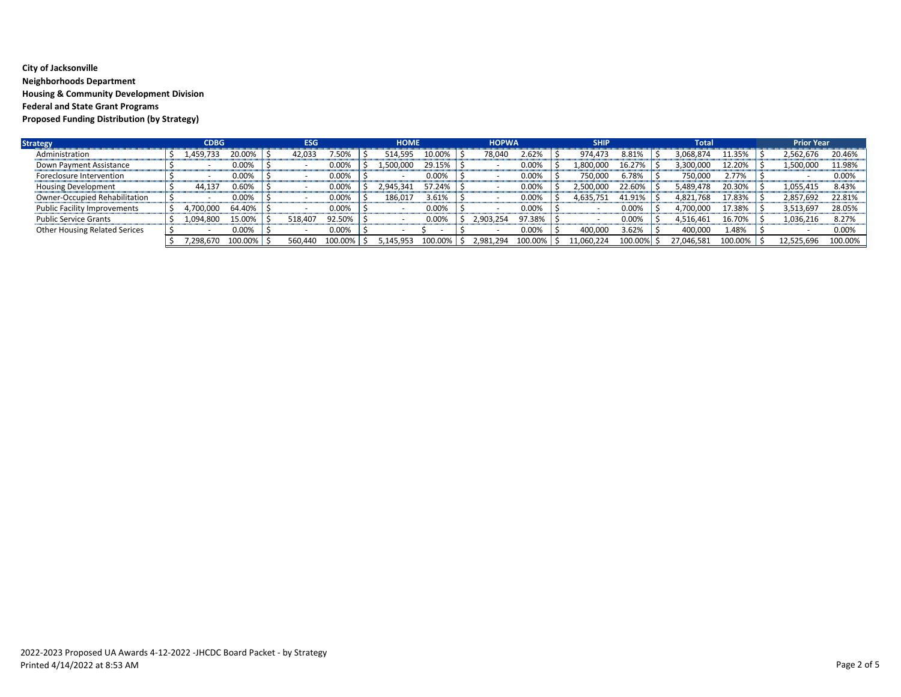## **City of Jacksonville Neighborhoods Department Housing & Community Development Division Federal and State Grant Programs Proposed Funding Distribution (by Strategy)**

| <b>Strategy</b>                      | <b>CDBG</b> |         | <b>ESG</b> |         | <b>HOME</b> |          | <b>HOPWA</b> |                 | <b>SHIP</b> |         | Total      |         | <b>Prior Year</b> |            |         |
|--------------------------------------|-------------|---------|------------|---------|-------------|----------|--------------|-----------------|-------------|---------|------------|---------|-------------------|------------|---------|
| Administration                       | .459,733    | 20.00%  | 42.033     | .50%    | 514,595     | 10.00%   | 78,040       | 2.62%           | 974.473     | 8.81%   | 3,068,874  | l1.35%  |                   | 2,562,676  | 20.46%  |
| Down Payment Assistance              |             | 0.00%   |            | 0.00%   | 500.000     | 29.15%   |              | $0.00\%$        | 1,800,000   | 16.27%  | 3,300,000  | 12.20%  |                   | 1,500,000  | 11.98%  |
| Foreclosure Intervention             |             | 0.00%   |            | 0.00%   |             | $0.00\%$ |              | 0.00%           | 750,000     | 6.78%   | 750,000    | 2.77%   |                   |            | 0.00%   |
| Housing Development                  | 44.137      | 0.60%   |            | 0.00%   | 2.945.341   | 57.24%   |              | $0.00\%$        | 2,500,000   | 22.60%  | 5,489,478  | 20.30%  |                   | 1,055,415  | 8.43%   |
| Owner-Occupied Rehabilitation        |             | 0.00%   |            | 0.00%   | 186,017     | 3.61%    |              | $0.00\%$        | 4,635,751   | 41.91%  | 4,821,768  | 17.83%  |                   | 2,857,692  | 22.81%  |
| <b>Public Facility Improvements</b>  | ,700,000    | 64.40%  |            | 0.00%   |             | 0.00%    |              | 0.00%           |             | 0.00%   | 1.700.000  | 17.38%  |                   | 3,513,697  | 28.05%  |
| <b>Public Service Grants</b>         | 1,094,800   | 15.00%  | 518,407    | 92.50%  |             | 0.00%    | 2,903,254    | 97.38%          |             | 0.00%   | 4,516,461  | 16.70%  |                   | 1,036,216  | 8.27%   |
| <b>Other Housing Related Serices</b> |             | 0.00%   |            | 0.00%   |             |          |              | 0.00%           | 400,000     | 3.62%   | 400,000    | 1.48%   |                   |            | 0.00%   |
|                                      | .298.670    | 100.00% | 560.440    | 100.00% | 5.145.953   | 100.00%  | 2,981,294    | $100.00\%$   \$ | 11,060,224  | 100.00% | 27,046,581 | 100.00% |                   | 12,525,696 | 100.00% |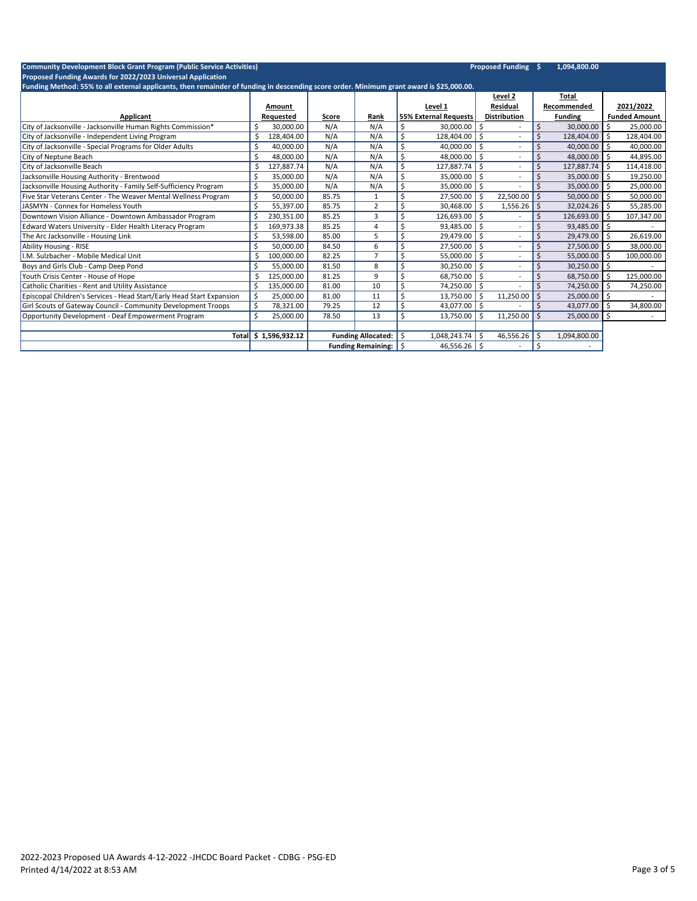| <b>Community Development Block Grant Program (Public Service Activities)</b>                                                             |                       |       |                           |                  |                              |         | <b>Proposed Funding \$</b> |    | 1,094,800.00   |    |                      |
|------------------------------------------------------------------------------------------------------------------------------------------|-----------------------|-------|---------------------------|------------------|------------------------------|---------|----------------------------|----|----------------|----|----------------------|
| Proposed Funding Awards for 2022/2023 Universal Application                                                                              |                       |       |                           |                  |                              |         |                            |    |                |    |                      |
| Funding Method: 55% to all external applicants, then remainder of funding in descending score order. Minimum grant award is \$25,000.00. |                       |       |                           |                  |                              |         | Level 2                    |    | Total          |    |                      |
|                                                                                                                                          | Amount                |       |                           |                  | Level 1                      |         | <b>Residual</b>            |    | Recommended    |    | 2021/2022            |
| Applicant                                                                                                                                | Requested             | Score | Rank                      |                  | <b>55% External Requests</b> |         | <b>Distribution</b>        |    | <b>Funding</b> |    | <b>Funded Amount</b> |
| City of Jacksonville - Jacksonville Human Rights Commission*                                                                             | Ś<br>30,000.00        | N/A   | N/A                       | \$               | 30,000.00                    | -\$     |                            | \$ | 30,000.00      | \$ | 25,000.00            |
| City of Jacksonville - Independent Living Program                                                                                        | \$<br>128,404.00      | N/A   | N/A                       | \$               | 128,404.00                   | $\zeta$ |                            |    | 128,404.00     | Ŝ. | 128,404.00           |
| City of Jacksonville - Special Programs for Older Adults                                                                                 | \$<br>40,000.00       | N/A   | N/A                       | \$               | 40,000.00                    | -\$     |                            |    | 40,000.00      | Ŝ. | 40,000.00            |
| City of Neptune Beach                                                                                                                    | Ś.<br>48,000.00       | N/A   | N/A                       | \$               | 48,000.00                    | -\$     |                            |    | 48,000.00      | Ŝ. | 44,895.00            |
| City of Jacksonville Beach                                                                                                               | 127,887.74            | N/A   | N/A                       | \$               | 127,887.74                   | -\$     |                            |    | 127,887.74     | Ŝ. | 114,418.00           |
| Jacksonville Housing Authority - Brentwood                                                                                               | \$<br>35,000.00       | N/A   | N/A                       | \$               | 35,000.00                    | -\$     |                            |    | 35,000.00      | Ŝ. | 19,250.00            |
| Jacksonville Housing Authority - Family Self-Sufficiency Program                                                                         | Ś<br>35,000.00        | N/A   | N/A                       | \$               | 35,000.00                    | -\$     |                            |    | 35,000.00      | -Ŝ | 25,000.00            |
| Five Star Veterans Center - The Weaver Mental Wellness Program                                                                           | \$<br>50,000.00       | 85.75 | 1                         | \$               | 27,500.00                    | -\$     | 22,500.00                  |    | 50,000.00      | Ŝ. | 50,000.00            |
| <b>JASMYN - Connex for Homeless Youth</b>                                                                                                | \$<br>55,397.00       | 85.75 | 2                         | \$               | 30,468.00                    | -\$     | 1,556.26                   | Ŝ. | 32,024.26      | Ŝ. | 55,285.00            |
| Downtown Vision Alliance - Downtown Ambassador Program                                                                                   | \$<br>230,351.00      | 85.25 | 3                         | \$               | 126,693.00                   | -\$     |                            |    | 126,693.00     | -S | 107,347.00           |
| Edward Waters University - Elder Health Literacy Program                                                                                 | Ś<br>169,973.38       | 85.25 | $\overline{4}$            | \$               | 93,485.00                    | -\$     |                            |    | 93,485.00      | Ŝ. |                      |
| The Arc Jacksonville - Housing Link                                                                                                      | \$<br>53,598.00       | 85.00 | 5                         | \$               | 29,479.00                    | S.      |                            |    | 29,479.00      | Ŝ. | 26,619.00            |
| <b>Ability Housing - RISE</b>                                                                                                            | Ś<br>50.000.00        | 84.50 | 6                         | \$               | 27.500.00                    | -\$     |                            |    | 27,500.00      | Ŝ. | 38,000.00            |
| I.M. Sulzbacher - Mobile Medical Unit                                                                                                    | \$<br>100,000.00      | 82.25 | $\overline{7}$            | $\zeta$          | 55,000.00                    | \$      |                            |    | 55,000.00      | S  | 100,000.00           |
| Boys and Girls Club - Camp Deep Pond                                                                                                     | Ś<br>55,000.00        | 81.50 | 8                         | \$               | 30,250.00                    | -\$     |                            |    | $30,250.00$ \$ |    |                      |
| Youth Crisis Center - House of Hope                                                                                                      | Ś<br>125,000.00       | 81.25 | 9                         | \$               | 68,750.00                    | \$      |                            |    | 68,750.00      | Ŝ. | 125,000.00           |
| Catholic Charities - Rent and Utility Assistance                                                                                         | Ś.<br>135,000.00      | 81.00 | 10                        | \$               | 74,250.00                    | -\$     |                            |    | 74,250.00      | Ŝ. | 74,250.00            |
| Episcopal Children's Services - Head Start/Early Head Start Expansion                                                                    | \$<br>25,000.00       | 81.00 | 11                        | $\overline{\xi}$ | 13,750.00                    | Ŝ.      | 11,250.00                  |    | 25,000.00      | Ŝ. |                      |
| Girl Scouts of Gateway Council - Community Development Troops                                                                            | \$<br>78,321.00       | 79.25 | 12                        | \$               | 43,077.00                    | -\$     |                            |    | 43,077.00      | Ŝ  | 34,800.00            |
| Opportunity Development - Deaf Empowerment Program                                                                                       | \$<br>25,000.00       | 78.50 | 13                        | \$               | 13,750.00                    | Ŝ.      | 11,250.00                  |    | 25,000.00      | Ŝ. |                      |
|                                                                                                                                          |                       |       |                           |                  |                              |         |                            |    |                |    |                      |
|                                                                                                                                          | Total \$ 1,596,932.12 |       | <b>Funding Allocated:</b> | Ŝ.               | 1,048,243.74                 | -\$     | 46,556.26                  |    | 1,094,800.00   |    |                      |
|                                                                                                                                          |                       |       | <b>Funding Remaining:</b> | S.               | 46,556.26                    | -\$     |                            | Ŝ. |                |    |                      |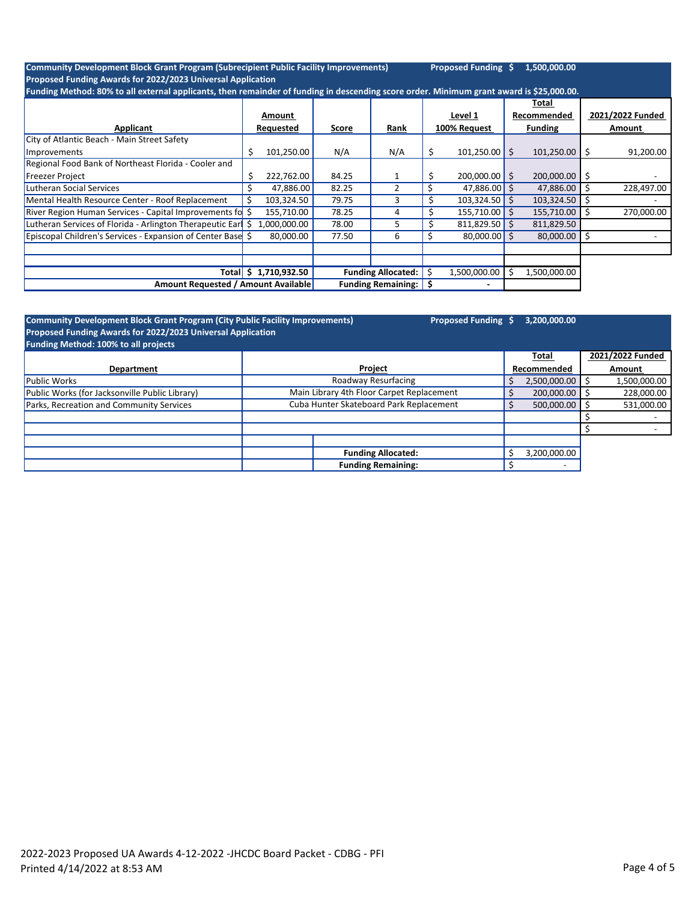| <b>Community Development Block Grant Program (Subrecipient Public Facility Improvements)</b>                                             |    |              |       |                           |    | Proposed Funding \$ |    | 1,500,000.00               |    |                  |
|------------------------------------------------------------------------------------------------------------------------------------------|----|--------------|-------|---------------------------|----|---------------------|----|----------------------------|----|------------------|
| Proposed Funding Awards for 2022/2023 Universal Application                                                                              |    |              |       |                           |    |                     |    |                            |    |                  |
| Funding Method: 80% to all external applicants, then remainder of funding in descending score order. Minimum grant award is \$25,000.00. |    |              |       |                           |    |                     |    |                            |    |                  |
|                                                                                                                                          |    |              |       |                           |    |                     |    | Total                      |    |                  |
|                                                                                                                                          |    | Amount       |       |                           |    | Level 1             |    | Recommended                |    | 2021/2022 Funded |
| Applicant                                                                                                                                |    | Requested    | Score | Rank                      |    | 100% Request        |    | <b>Funding</b>             |    | Amount           |
| City of Atlantic Beach - Main Street Safety                                                                                              |    |              |       |                           |    |                     |    |                            |    |                  |
| Improvements                                                                                                                             | Ś  | 101,250.00   | N/A   | N/A                       |    | $101,250.00$ \$     |    | 101,250.00                 | S  | 91,200.00        |
| Regional Food Bank of Northeast Florida - Cooler and                                                                                     |    |              |       |                           |    |                     |    |                            |    |                  |
| <b>Freezer Project</b>                                                                                                                   | \$ | 222,762.00   | 84.25 |                           | \$ | $200,000.00$ \$     |    | $200,000.00$ $\frac{1}{5}$ |    |                  |
| <b>Lutheran Social Services</b>                                                                                                          | S  | 47,886.00    | 82.25 |                           | \$ | $47,886.00$ \$      |    | 47,886.00                  | Ŝ. | 228,497.00       |
| Mental Health Resource Center - Roof Replacement                                                                                         |    | 103,324.50   | 79.75 | 3                         |    | 103,324.50          | Ŝ. | 103,324.50                 |    |                  |
| River Region Human Services - Capital Improvements fo \$                                                                                 |    | 155,710.00   | 78.25 |                           |    | $155,710.00$ \$     |    | 155,710.00                 |    | 270,000.00       |
| Lutheran Services of Florida - Arlington Therapeutic Earl \$                                                                             |    | 1,000,000.00 | 78.00 |                           |    | $811,829.50$ \$     |    | 811,829.50                 |    |                  |
| Episcopal Children's Services - Expansion of Center Base \$                                                                              |    | 80,000.00    | 77.50 | 6                         |    | $80,000.00$ \$      |    | 80,000.00                  |    |                  |
|                                                                                                                                          |    |              |       |                           |    |                     |    |                            |    |                  |
|                                                                                                                                          |    |              |       |                           |    |                     |    |                            |    |                  |
| Totall                                                                                                                                   | Ŝ. | 1,710,932.50 |       | <b>Funding Allocated:</b> |    | 1,500,000.00        | Ŝ. | 1,500,000.00               |    |                  |
| <b>Amount Requested / Amount Available</b><br><b>Funding Remaining:</b>                                                                  |    |              |       |                           |    |                     |    |                            |    |                  |

| <b>Community Development Block Grant Program (City Public Facility Improvements)</b><br>Proposed Funding Awards for 2022/2023 Universal Application | Proposed Funding \$                       |  | 3,200,000.00 |              |                  |
|-----------------------------------------------------------------------------------------------------------------------------------------------------|-------------------------------------------|--|--------------|--------------|------------------|
| Funding Method: 100% to all projects                                                                                                                |                                           |  |              |              |                  |
|                                                                                                                                                     |                                           |  |              | Total        | 2021/2022 Funded |
| <b>Department</b>                                                                                                                                   | Project                                   |  |              | Recommended  | Amount           |
| <b>Public Works</b>                                                                                                                                 | Roadway Resurfacing                       |  |              | 2,500,000.00 | 1,500,000.00     |
| Public Works (for Jacksonville Public Library)                                                                                                      | Main Library 4th Floor Carpet Replacement |  |              | 200,000.00   | 228,000.00       |
| Parks, Recreation and Community Services                                                                                                            | Cuba Hunter Skateboard Park Replacement   |  |              | 500,000.00   | 531,000.00       |
|                                                                                                                                                     |                                           |  |              |              |                  |
|                                                                                                                                                     |                                           |  |              |              |                  |
|                                                                                                                                                     |                                           |  |              |              |                  |
|                                                                                                                                                     | <b>Funding Allocated:</b>                 |  | S            | 3,200,000.00 |                  |
|                                                                                                                                                     | <b>Funding Remaining:</b>                 |  |              | -            |                  |